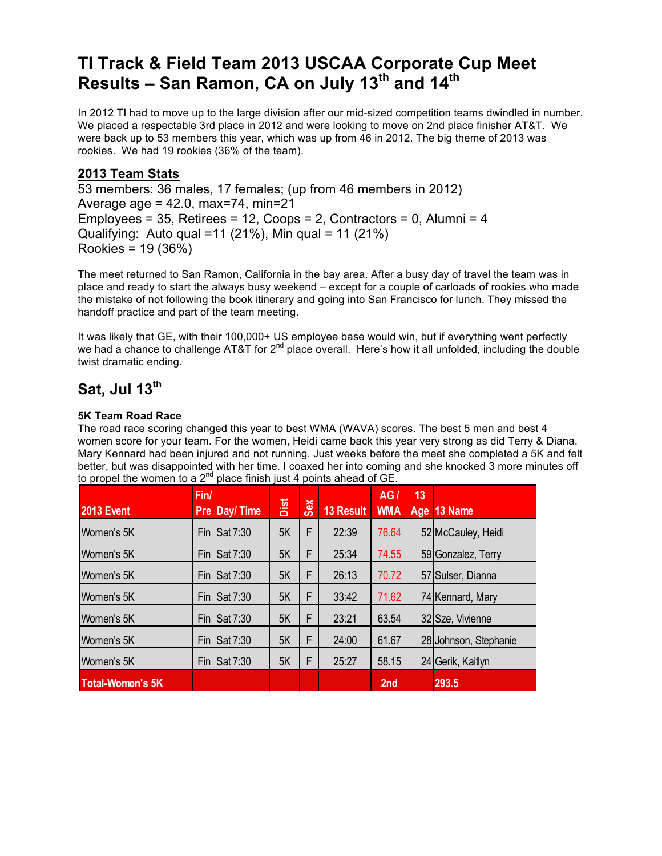# **TI Track & Field Team 2013 USCAA Corporate Cup Meet Results – San Ramon, CA on July 13th and 14th**

In 2012 TI had to move up to the large division after our mid-sized competition teams dwindled in number. We placed a respectable 3rd place in 2012 and were looking to move on 2nd place finisher AT&T. We were back up to 53 members this year, which was up from 46 in 2012. The big theme of 2013 was rookies. We had 19 rookies (36% of the team).

### **2013 Team Stats**

53 members: 36 males, 17 females; (up from 46 members in 2012) Average age  $= 42.0$ , max=74, min=21 Employees = 35, Retirees = 12, Coops = 2, Contractors = 0, Alumni = 4 Qualifying: Auto qual =11 (21%), Min qual = 11 (21%) Rookies = 19 (36%)

The meet returned to San Ramon, California in the bay area. After a busy day of travel the team was in place and ready to start the always busy weekend – except for a couple of carloads of rookies who made the mistake of not following the book itinerary and going into San Francisco for lunch. They missed the handoff practice and part of the team meeting.

It was likely that GE, with their 100,000+ US employee base would win, but if everything went perfectly we had a chance to challenge AT&T for 2<sup>nd</sup> place overall. Here's how it all unfolded, including the double twist dramatic ending.

# **Sat, Jul 13th**

#### **5K Team Road Race**

The road race scoring changed this year to best WMA (WAVA) scores. The best 5 men and best 4 women score for your team. For the women, Heidi came back this year very strong as did Terry & Diana. Mary Kennard had been injured and not running. Just weeks before the meet she completed a 5K and felt better, but was disappointed with her time. I coaxed her into coming and she knocked 3 more minutes off to propel the women to a  $2^{nd}$  place finish just 4 points ahead of GE.

| <b>2013 Event</b>       | Fin/ | Pre Day/Time | Dist | <b>Sex</b> | <b>13 Result</b> | AG/<br><b>WMA</b> | 13 | Age 13 Name           |
|-------------------------|------|--------------|------|------------|------------------|-------------------|----|-----------------------|
| Women's 5K              | Fin  | Sat 7:30     | 5K   | F          | 22:39            | 76.64             |    | 52 McCauley, Heidi    |
| Women's 5K              | Fin  | Sat 7:30     | 5K   | F          | 25:34            | 74.55             |    | 59 Gonzalez, Terry    |
| Women's 5K              | Fin  | Sat 7:30     | 5K   | F          | 26:13            | 70.72             |    | 57 Sulser, Dianna     |
| Women's 5K              | Fin  | Sat 7:30     | 5K   | F          | 33:42            | 71.62             |    | 74 Kennard, Mary      |
| Women's 5K              | Fin  | Sat 7:30     | 5K   | F          | 23:21            | 63.54             |    | 32 Sze, Vivienne      |
| Women's 5K              | Fin  | Sat 7:30     | 5K   | F          | 24:00            | 61.67             |    | 28 Johnson, Stephanie |
| Women's 5K              | Fin  | Sat 7:30     | 5K   | F          | 25:27            | 58.15             |    | 24 Gerik, Kaitlyn     |
| <b>Total-Women's 5K</b> |      |              |      |            |                  | 2nd               |    | 293.5                 |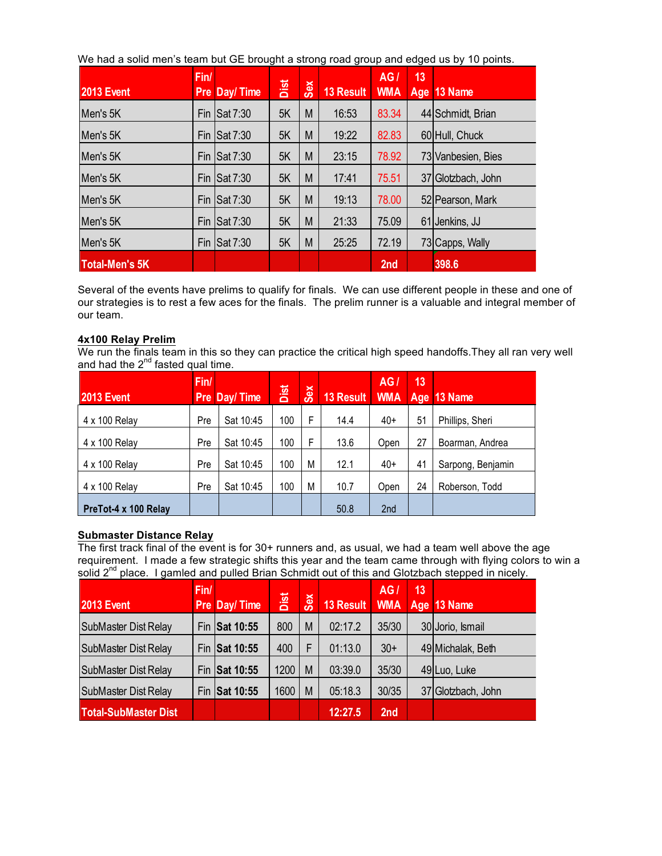We had a solid men's team but GE brought a strong road group and edged us by 10 points.

| <b>2013 Event</b>     | Fin/<br><b>Pre</b> | Day/Time | Dist | Sex | <b>13 Result</b> | AG/<br><b>WMA</b> | 13 | Age 13 Name        |
|-----------------------|--------------------|----------|------|-----|------------------|-------------------|----|--------------------|
| Men's 5K              | Fin                | Sat 7:30 | 5K   | M   | 16:53            | 83.34             |    | 44 Schmidt, Brian  |
| Men's 5K              | Fin                | Sat 7:30 | 5K   | M   | 19:22            | 82.83             |    | 60 Hull, Chuck     |
| Men's 5K              | Fin                | Sat 7:30 | 5K   | M   | 23:15            | 78.92             |    | 73 Vanbesien, Bies |
| Men's 5K              | Fin                | Sat 7:30 | 5K   | M   | 17:41            | 75.51             | 37 | ' Glotzbach, John  |
| Men's 5K              | Fin                | Sat 7:30 | 5K   | M   | 19:13            | 78.00             |    | 52 Pearson, Mark   |
| Men's 5K              | Fin                | Sat 7:30 | 5K   | M   | 21:33            | 75.09             | 61 | Jenkins, JJ        |
| Men's 5K              | Fin                | Sat 7:30 | 5K   | M   | 25:25            | 72.19             |    | 73 Capps, Wally    |
| <b>Total-Men's 5K</b> |                    |          |      |     |                  | 2nd               |    | 398.6              |

Several of the events have prelims to qualify for finals. We can use different people in these and one of our strategies is to rest a few aces for the finals. The prelim runner is a valuable and integral member of our team.

#### **4x100 Relay Prelim**

We run the finals team in this so they can practice the critical high speed handoffs.They all ran very well and had the  $2^{nd}$  fasted qual time.

| <b>2013 Event</b>    | Fin/ | <b>Pre Day/Time</b> | Dist | Sex | 13 Result | AG<br><b>WMA</b> | 13<br>Age | 13 Name           |
|----------------------|------|---------------------|------|-----|-----------|------------------|-----------|-------------------|
| 4 x 100 Relay        | Pre  | Sat 10:45           | 100  | F   | 14.4      | $40+$            | 51        | Phillips, Sheri   |
| 4 x 100 Relay        | Pre  | Sat 10:45           | 100  | F   | 13.6      | Open             | 27        | Boarman, Andrea   |
| 4 x 100 Relay        | Pre  | Sat 10:45           | 100  | M   | 12.1      | $40+$            | 41        | Sarpong, Benjamin |
| 4 x 100 Relay        | Pre  | Sat 10:45           | 100  | M   | 10.7      | Open             | 24        | Roberson, Todd    |
| PreTot-4 x 100 Relay |      |                     |      |     | 50.8      | 2 <sub>nd</sub>  |           |                   |

#### **Submaster Distance Relay**

The first track final of the event is for 30+ runners and, as usual, we had a team well above the age requirement. I made a few strategic shifts this year and the team came through with flying colors to win a solid 2<sup>nd</sup> place. I gamled and pulled Brian Schmidt out of this and Glotzbach stepped in nicely.

| <b>2013 Event</b>           | Fin/ | Pre Day/Time  | Dist | Sex | 13 Result WMA Age 13 Name | AG/             | 13 |                    |
|-----------------------------|------|---------------|------|-----|---------------------------|-----------------|----|--------------------|
| <b>SubMaster Dist Relay</b> |      | Fin Sat 10:55 | 800  | M   | 02:17.2                   | 35/30           |    | 30 Jorio, Ismail   |
| <b>SubMaster Dist Relay</b> |      | Fin Sat 10:55 | 400  | F   | 01:13.0                   | $30+$           |    | 49 Michalak, Beth  |
| <b>SubMaster Dist Relay</b> |      | Fin Sat 10:55 | 1200 | M   | 03:39.0                   | 35/30           |    | 49Luo, Luke        |
| <b>SubMaster Dist Relay</b> |      | Fin Sat 10:55 | 1600 | M   | 05:18.3                   | 30/35           |    | 37 Glotzbach, John |
| <b>Total-SubMaster Dist</b> |      |               |      |     | 12:27.5                   | 2 <sub>nd</sub> |    |                    |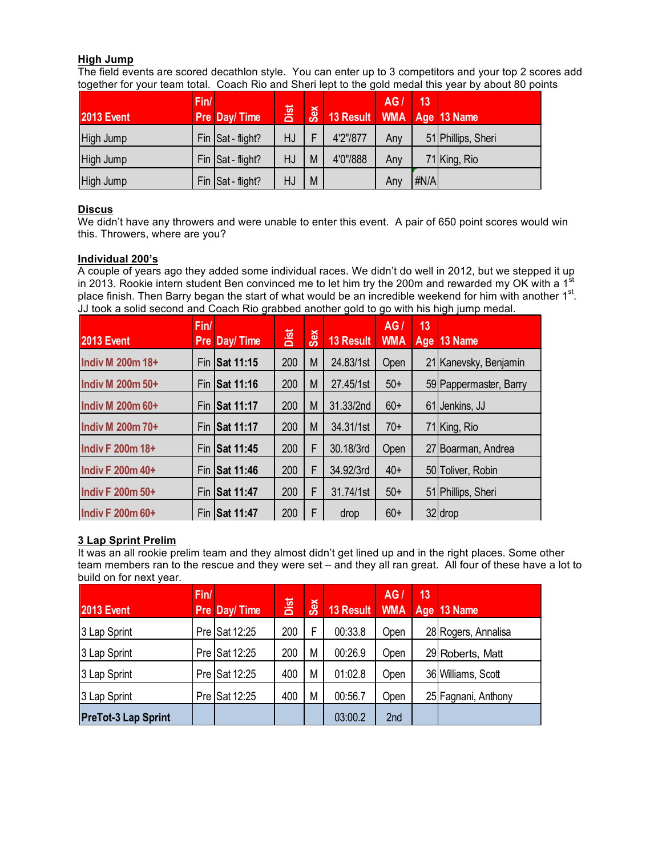#### **High Jump**

The field events are scored decathlon style. You can enter up to 3 competitors and your top 2 scores add together for your team total. Coach Rio and Sheri lept to the gold medal this year by about 80 points

| <b>2013 Event</b> | Fin/ | Pre Day/Time      | Dist | Sex | 13 Result WMA | AG/ | 13   | Age 13 Name        |
|-------------------|------|-------------------|------|-----|---------------|-----|------|--------------------|
| High Jump         |      | Fin Sat - flight? | HJ   |     | 4'2"/877      | Anv |      | 51 Phillips, Sheri |
| High Jump         |      | Fin Sat - flight? | HJ   | M   | 4'0"/888      | Any |      | 71 King, Rio       |
| High Jump         |      | Fin Sat - flight? | HJ   | M   |               | Any | #N/A |                    |

#### **Discus**

We didn't have any throwers and were unable to enter this event. A pair of 650 point scores would win this. Throwers, where are you?

#### **Individual 200's**

A couple of years ago they added some individual races. We didn't do well in 2012, but we stepped it up in 2013. Rookie intern student Ben convinced me to let him try the 200m and rewarded my OK with a 1<sup>st</sup> place finish. Then Barry began the start of what would be an incredible weekend for him with another  $1<sup>st</sup>$ . JJ took a solid second and Coach Rio grabbed another gold to go with his high jump medal.

| <b>2013 Event</b>       | Fin/ | <b>Pre Day/Time</b> | Dist | Sex | 13 Result | AGI<br><b>WMA</b> | 13<br>Age | $13$ Name              |
|-------------------------|------|---------------------|------|-----|-----------|-------------------|-----------|------------------------|
| <b>Indiv M 200m 18+</b> |      | Fin Sat 11:15       | 200  | M   | 24.83/1st | Open              |           | 21 Kanevsky, Benjamin  |
| <b>Indiv M 200m 50+</b> |      | Fin Sat 11:16       | 200  | M   | 27.45/1st | $50+$             |           | 59 Pappermaster, Barry |
| <b>Indiv M 200m 60+</b> |      | Fin Sat 11:17       | 200  | M   | 31.33/2nd | $60+$             |           | 61 Jenkins, JJ         |
| <b>Indiv M 200m 70+</b> |      | Fin Sat 11:17       | 200  | M   | 34.31/1st | $70+$             |           | 71 King, Rio           |
| <b>Indiv F 200m 18+</b> |      | Fin ISat 11:45      | 200  | F   | 30.18/3rd | Open              |           | 27 Boarman, Andrea     |
| <b>Indiv F 200m 40+</b> |      | Fin Sat 11:46       | 200  | F   | 34.92/3rd | $40+$             |           | 50 Toliver, Robin      |
| <b>Indiv F 200m 50+</b> |      | Fin Sat 11:47       | 200  | F   | 31.74/1st | $50+$             |           | 51 Phillips, Sheri     |
| <b>Indiv F 200m 60+</b> |      | Fin Sat 11:47       | 200  | F   | drop      | $60+$             |           | 32 drop                |

#### **3 Lap Sprint Prelim**

It was an all rookie prelim team and they almost didn't get lined up and in the right places. Some other team members ran to the rescue and they were set – and they all ran great. All four of these have a lot to build on for next year.

| <b>2013 Event</b>          | Fin/ | Pre Day/Time  | Dist | Sex | 13 Result | AG              | 13 | WMA Age 13 Name     |
|----------------------------|------|---------------|------|-----|-----------|-----------------|----|---------------------|
| 3 Lap Sprint               |      | Pre Sat 12:25 | 200  | F   | 00:33.8   | Open            |    | 28 Rogers, Annalisa |
| 3 Lap Sprint               |      | Pre Sat 12:25 | 200  | M   | 00:26.9   | Open            |    | 29 Roberts, Matt    |
| 3 Lap Sprint               |      | Pre Sat 12:25 | 400  | M   | 01:02.8   | Open            |    | 36 Williams, Scott  |
| 3 Lap Sprint               |      | Pre Sat 12:25 | 400  | M   | 00:56.7   | Open            |    | 25 Fagnani, Anthony |
| <b>PreTot-3 Lap Sprint</b> |      |               |      |     | 03:00.2   | 2 <sub>nd</sub> |    |                     |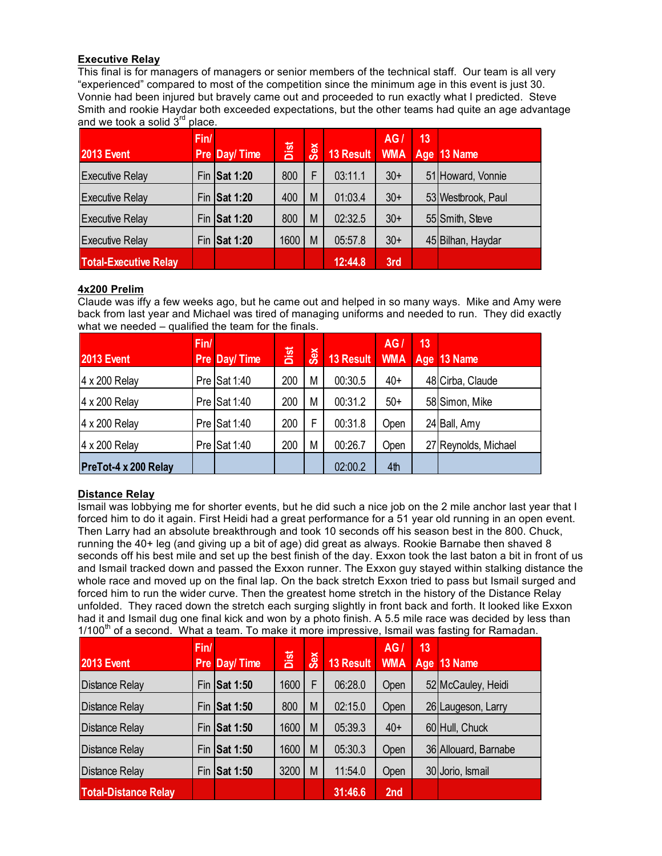#### **Executive Relay**

This final is for managers of managers or senior members of the technical staff. Our team is all very "experienced" compared to most of the competition since the minimum age in this event is just 30. Vonnie had been injured but bravely came out and proceeded to run exactly what I predicted. Steve Smith and rookie Haydar both exceeded expectations, but the other teams had quite an age advantage and we took a solid  $3<sup>rd</sup>$  place.

| <b>2013 Event</b>            | Fin/ | Pre Day/Time    | Dist | Sex | 13 Result | <b>AG</b><br><b>WMA</b> | 13<br>Age | 13 Name            |
|------------------------------|------|-----------------|------|-----|-----------|-------------------------|-----------|--------------------|
| <b>Executive Relay</b>       | Fin  | <b>Sat 1:20</b> | 800  | F   | 03:11.1   | $30+$                   |           | 51 Howard, Vonnie  |
| <b>Executive Relay</b>       | Fin  | <b>Sat 1:20</b> | 400  | M   | 01:03.4   | $30+$                   |           | 53 Westbrook, Paul |
| <b>Executive Relay</b>       | Fin  | <b>Sat 1:20</b> | 800  | M   | 02:32.5   | $30+$                   |           | 55 Smith, Steve    |
| <b>Executive Relay</b>       | Fin  | <b>Sat 1:20</b> | 1600 | M   | 05:57.8   | $30+$                   |           | 45 Bilhan, Haydar  |
| <b>Total-Executive Relay</b> |      |                 |      |     | 12:44.8   | 3rd                     |           |                    |

#### **4x200 Prelim**

Claude was iffy a few weeks ago, but he came out and helped in so many ways. Mike and Amy were back from last year and Michael was tired of managing uniforms and needed to run. They did exactly what we needed – qualified the team for the finals.

| <b>2013 Event</b>    | Fin/ | <b>Pre Day/Time</b>      | Dist | Sex | <b>13 Result</b> | AG<br><b>WMA</b> | 13 | Age 13 Name          |
|----------------------|------|--------------------------|------|-----|------------------|------------------|----|----------------------|
| $4 \times 200$ Relay |      | Pre $\textsf{Isat} 1:40$ | 200  | M   | 00:30.5          | $40+$            |    | 48 Cirba, Claude     |
| 4 x 200 Relay        |      | Pre $\textsf{Isat} 1:40$ | 200  | M   | 00:31.2          | $50+$            |    | 58 Simon, Mike       |
| $4 \times 200$ Relay |      | Pre $\textsf{Isat} 1:40$ | 200  | F   | 00:31.8          | Open             |    | 24 Ball, Amy         |
| $4 \times 200$ Relay |      | Pre $\textsf{Isat} 1:40$ | 200  | M   | 00:26.7          | Open             |    | 27 Reynolds, Michael |
| PreTot-4 x 200 Relay |      |                          |      |     | 02:00.2          | 4th              |    |                      |

#### **Distance Relay**

Ismail was lobbying me for shorter events, but he did such a nice job on the 2 mile anchor last year that I forced him to do it again. First Heidi had a great performance for a 51 year old running in an open event. Then Larry had an absolute breakthrough and took 10 seconds off his season best in the 800. Chuck, running the 40+ leg (and giving up a bit of age) did great as always. Rookie Barnabe then shaved 8 seconds off his best mile and set up the best finish of the day. Exxon took the last baton a bit in front of us and Ismail tracked down and passed the Exxon runner. The Exxon guy stayed within stalking distance the whole race and moved up on the final lap. On the back stretch Exxon tried to pass but Ismail surged and forced him to run the wider curve. Then the greatest home stretch in the history of the Distance Relay unfolded. They raced down the stretch each surging slightly in front back and forth. It looked like Exxon had it and Ismail dug one final kick and won by a photo finish. A 5.5 mile race was decided by less than  $1/100<sup>th</sup>$  of a second. What a team. To make it more impressive, Ismail was fasting for Ramadan.

| <b>2013 Event</b>           | Fin/ | Pre Day/Time    | Dist | Sex | <b>13 Result</b> | AGI<br><b>WMA</b> | 13 | Age 13 Name          |
|-----------------------------|------|-----------------|------|-----|------------------|-------------------|----|----------------------|
| <b>Distance Relay</b>       | Fin  | <b>Sat 1:50</b> | 1600 | F   | 06:28.0          | Open              |    | 52 McCauley, Heidi   |
| <b>Distance Relay</b>       | Fin  | <b>Sat 1:50</b> | 800  | M   | 02:15.0          | Open              |    | 26 Laugeson, Larry   |
| <b>Distance Relay</b>       | Fin  | <b>Sat 1:50</b> | 1600 | M   | 05:39.3          | $40+$             |    | 60 Hull, Chuck       |
| <b>Distance Relay</b>       | Fin  | <b>Sat 1:50</b> | 1600 | M   | 05:30.3          | Open              |    | 36 Allouard, Barnabe |
| <b>Distance Relay</b>       | Fin  | <b>Sat 1:50</b> | 3200 | M   | 11:54.0          | Open              |    | 30 Jorio, Ismail     |
| <b>Total-Distance Relay</b> |      |                 |      |     | 31:46.6          | 2 <sub>nd</sub>   |    |                      |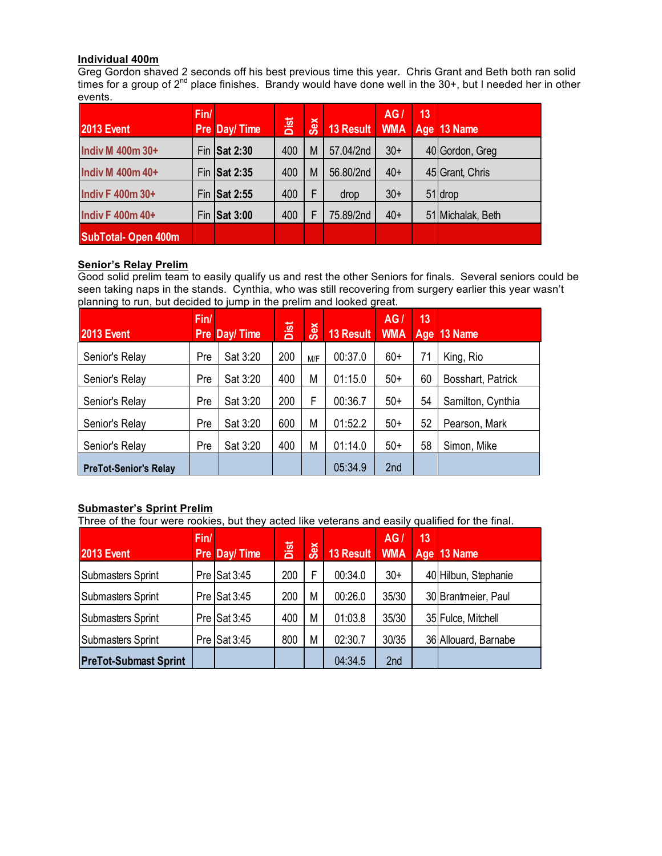#### **Individual 400m**

Greg Gordon shaved 2 seconds off his best previous time this year. Chris Grant and Beth both ran solid times for a group of 2<sup>nd</sup> place finishes. Brandy would have done well in the 30+, but I needed her in other events.

| <b>2013 Event</b>         | Fin/ | Pre Day/Time | Dist | Sex | 13 Result | AGI   | 13 | WMA Age 13 Name   |
|---------------------------|------|--------------|------|-----|-----------|-------|----|-------------------|
| <b>Indiv M 400m 30+</b>   |      | Fin Sat 2:30 | 400  | M   | 57.04/2nd | $30+$ |    | 40 Gordon, Greg   |
| <b>Indiv M 400m 40+</b>   |      | Fin Sat 2:35 | 400  | M   | 56.80/2nd | $40+$ |    | 45 Grant, Chris   |
| <b>Indiv F 400m 30+</b>   |      | Fin Sat 2:55 | 400  | F   | drop      | $30+$ |    | 51 drop           |
| <b>Indiv F 400m 40+</b>   |      | Fin Sat 3:00 | 400  | F   | 75.89/2nd | $40+$ |    | 51 Michalak, Beth |
| <b>SubTotal-Open 400m</b> |      |              |      |     |           |       |    |                   |

#### **Senior's Relay Prelim**

Good solid prelim team to easily qualify us and rest the other Seniors for finals. Several seniors could be seen taking naps in the stands. Cynthia, who was still recovering from surgery earlier this year wasn't planning to run, but decided to jump in the prelim and looked great.

| <b>2013 Event</b>            | Fin/ | <b>Pre Day/Time</b> | Dist | Sex | <b>13 Result</b> | AG.<br><b>WMA</b> | 13<br>Age | 13 Name           |
|------------------------------|------|---------------------|------|-----|------------------|-------------------|-----------|-------------------|
| Senior's Relay               | Pre  | Sat 3:20            | 200  | M/F | 00:37.0          | $60+$             | 71        | King, Rio         |
| Senior's Relay               | Pre  | Sat 3:20            | 400  | М   | 01:15.0          | $50+$             | 60        | Bosshart, Patrick |
| Senior's Relay               | Pre  | Sat 3:20            | 200  | F   | 00:36.7          | $50+$             | 54        | Samilton, Cynthia |
| Senior's Relay               | Pre  | Sat 3:20            | 600  | M   | 01:52.2          | $50+$             | 52        | Pearson, Mark     |
| Senior's Relay               | Pre  | Sat 3:20            | 400  | М   | 01:14.0          | $50+$             | 58        | Simon, Mike       |
| <b>PreTot-Senior's Relay</b> |      |                     |      |     | 05:34.9          | 2nd               |           |                   |

#### **Submaster's Sprint Prelim**

Three of the four were rookies, but they acted like veterans and easily qualified for the final.

| <b>2013 Event</b>            | Fin/ | <b>Pre Day/Time</b>      | Dist | Sex | 13 Result | AG<br><b>WMA</b> | 13<br>Age | $13$ Name            |
|------------------------------|------|--------------------------|------|-----|-----------|------------------|-----------|----------------------|
| Submasters Sprint            |      | Pre Sat 3:45             | 200  | F   | 00:34.0   | $30+$            |           | 40 Hilbun, Stephanie |
| Submasters Sprint            |      | Pre $\textsf{Isat }3:45$ | 200  | M   | 00:26.0   | 35/30            |           | 30 Brantmeier, Paul  |
| Submasters Sprint            |      | Pre $\textsf{Isat }3:45$ | 400  | M   | 01:03.8   | 35/30            |           | 35 Fulce, Mitchell   |
| Submasters Sprint            |      | Pre $\textsf{Isat }3:45$ | 800  | M   | 02:30.7   | 30/35            |           | 36 Allouard, Barnabe |
| <b>PreTot-Submast Sprint</b> |      |                          |      |     | 04:34.5   | 2 <sub>nd</sub>  |           |                      |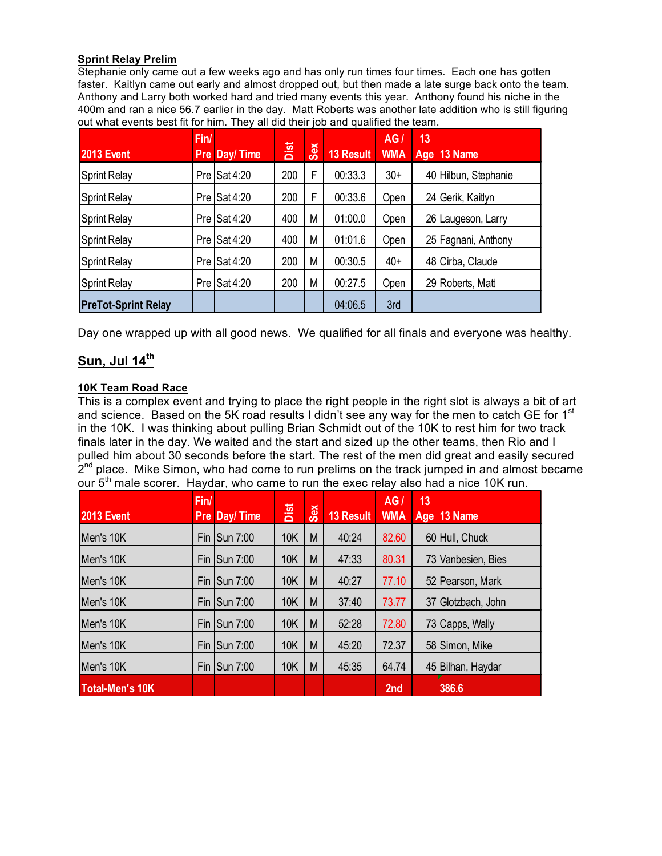#### **Sprint Relay Prelim**

Stephanie only came out a few weeks ago and has only run times four times. Each one has gotten faster. Kaitlyn came out early and almost dropped out, but then made a late surge back onto the team. Anthony and Larry both worked hard and tried many events this year. Anthony found his niche in the 400m and ran a nice 56.7 earlier in the day. Matt Roberts was another late addition who is still figuring out what events best fit for him. They all did their job and qualified the team.

| <b>2013 Event</b>          | Fin/  | <b>Pre Day/Time</b>      | Dist | Sex | <b>13 Result</b> | AG<br><b>WMA</b> | 13<br>Age | 13 Name              |
|----------------------------|-------|--------------------------|------|-----|------------------|------------------|-----------|----------------------|
| <b>Sprint Relay</b>        |       | Pre $\textsf{Isat }4:20$ | 200  | F   | 00:33.3          | $30+$            |           | 40 Hilbun, Stephanie |
| <b>Sprint Relay</b>        |       | Pre $\textsf{Isat }4:20$ | 200  | F   | 00:33.6          | Open             |           | 24 Gerik, Kaitlyn    |
| <b>Sprint Relay</b>        | Pre I | Sat 4:20                 | 400  | М   | 01:00.0          | Open             | 261       | Laugeson, Larry      |
| <b>Sprint Relay</b>        | Pre I | Sat 4:20                 | 400  | М   | 01:01.6          | Open             |           | 25 Fagnani, Anthony  |
| <b>Sprint Relay</b>        | Pre I | Sat 4:20                 | 200  | М   | 00:30.5          | $40+$            |           | 48 Cirba, Claude     |
| <b>Sprint Relay</b>        | Pre l | Sat 4:20                 | 200  | М   | 00:27.5          | Open             |           | 29 Roberts, Matt     |
| <b>PreTot-Sprint Relay</b> |       |                          |      |     | 04:06.5          | 3rd              |           |                      |

Day one wrapped up with all good news. We qualified for all finals and everyone was healthy.

# **Sun, Jul 14th**

#### **10K Team Road Race**

This is a complex event and trying to place the right people in the right slot is always a bit of art and science. Based on the 5K road results I didn't see any way for the men to catch GE for 1<sup>st</sup> in the 10K. I was thinking about pulling Brian Schmidt out of the 10K to rest him for two track finals later in the day. We waited and the start and sized up the other teams, then Rio and I pulled him about 30 seconds before the start. The rest of the men did great and easily secured  $2^{nd}$  place. Mike Simon, who had come to run prelims on the track jumped in and almost became our  $5<sup>th</sup>$  male scorer. Haydar, who came to run the exec relay also had a nice 10K run.

| <b>2013 Event</b>      | Fin/<br><b>Pre</b> | Day/Time                                   | Dist       | Sex | <b>13 Result</b> | AG/<br><b>WMA</b> | 13 | Age 13 Name        |
|------------------------|--------------------|--------------------------------------------|------------|-----|------------------|-------------------|----|--------------------|
| Men's 10K              | <b>Fin</b>         | <b>Sun 7:00</b>                            | <b>10K</b> | M   | 40:24            | 82.60             |    | 60 Hull, Chuck     |
| Men's 10K              | Fin                | $\textsf{ISun }7:00$                       | <b>10K</b> | M   | 47:33            | 80.31             |    | 73 Vanbesien, Bies |
| Men's 10K              | Fin                | <b>Sun 7:00</b>                            | <b>10K</b> | M   | 40:27            | 77.10             |    | 52 Pearson, Mark   |
| Men's 10K              | Fin                | <b>Sun 7:00</b>                            | <b>10K</b> | M   | 37:40            | 73.77             |    | 37 Glotzbach, John |
| Men's 10K              |                    | Fin $\textsf{I}$ Sun 7:00                  | <b>10K</b> | M   | 52:28            | 72.80             |    | 73 Capps, Wally    |
| Men's 10K              |                    | Fin $\left \mathsf{Sun}\right\rangle$ 7:00 | <b>10K</b> | M   | 45:20            | 72.37             |    | 58 Simon, Mike     |
| Men's 10K              |                    | Fin Sun 7:00                               | <b>10K</b> | M   | 45:35            | 64.74             |    | 45 Bilhan, Haydar  |
| <b>Total-Men's 10K</b> |                    |                                            |            |     |                  | 2nd               |    | 386.6              |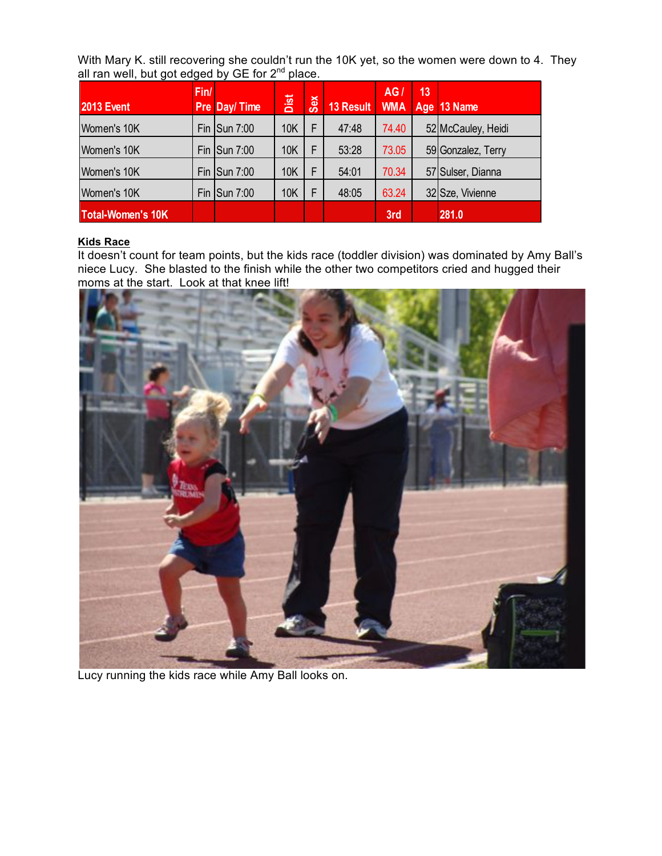With Mary K. still recovering she couldn't run the 10K yet, so the women were down to 4. They all ran well, but got edged by GE for  $2<sup>nd</sup>$  place.

| <b>2013 Event</b>        | Fin/ | Pre Day/ Time                              | Dist       | <b>Sex</b> | 13 Result | AG/<br><b>WMA</b> | 13 | Age 13 Name        |
|--------------------------|------|--------------------------------------------|------------|------------|-----------|-------------------|----|--------------------|
| Women's 10K              |      | Fin $\left \mathsf{Sun}\right\rangle$ 7:00 | <b>10K</b> | F          | 47:48     | 74.40             |    | 52 McCauley, Heidi |
| Women's 10K              |      | Fin $\left \mathsf{Sun}\right\rangle$ 7:00 | <b>10K</b> | E          | 53:28     | 73.05             |    | 59 Gonzalez, Terry |
| Women's 10K              |      | Fin $\textsf{I}$ Sun 7:00                  | 10K        | F          | 54:01     | 70.34             |    | 57 Sulser, Dianna  |
| Women's 10K              |      | Fin $\left \mathsf{Sun}\right\rangle$ 7:00 | <b>10K</b> | F          | 48:05     | 63.24             |    | 32 Sze, Vivienne   |
| <b>Total-Women's 10K</b> |      |                                            |            |            |           | 3rd               |    | 281.0              |

#### **Kids Race**

It doesn't count for team points, but the kids race (toddler division) was dominated by Amy Ball's niece Lucy. She blasted to the finish while the other two competitors cried and hugged their moms at the start. Look at that knee lift!



Lucy running the kids race while Amy Ball looks on.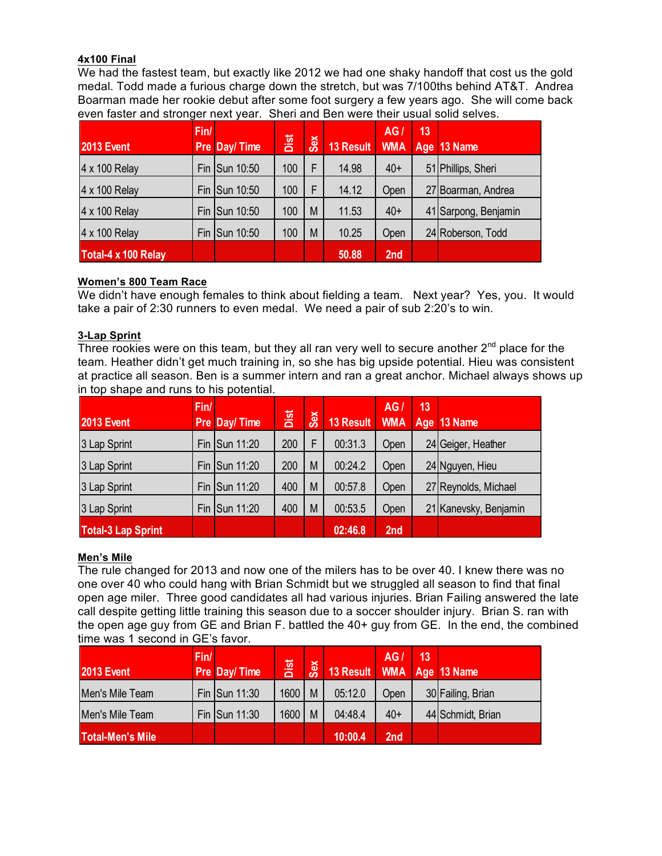#### **4x100 Final**

We had the fastest team, but exactly like 2012 we had one shaky handoff that cost us the gold medal. Todd made a furious charge down the stretch, but was 7/100ths behind AT&T. Andrea Boarman made her rookie debut after some foot surgery a few years ago. She will come back even faster and stronger next year. Sheri and Ben were their usual solid selves.

| <b>2013 Event</b>   | Fin/ | Pre Day/Time  | Dist | Sex | 13 Result | AG/<br><b>WMA</b> | 13 | Age 13 Name          |
|---------------------|------|---------------|------|-----|-----------|-------------------|----|----------------------|
| 4 x 100 Relay       |      | Fin Sun 10:50 | 100  | F   | 14.98     | $40+$             |    | 51 Phillips, Sheri   |
| 4 x 100 Relay       |      | Fin Sun 10:50 | 100  | F   | 14.12     | Open              |    | 27 Boarman, Andrea   |
| 4 x 100 Relay       |      | Fin Sun 10:50 | 100  | M   | 11.53     | $40+$             |    | 41 Sarpong, Benjamin |
| 4 x 100 Relay       |      | Fin Sun 10:50 | 100  | M   | 10.25     | Open              |    | 24 Roberson, Todd    |
| Total-4 x 100 Relay |      |               |      |     | 50.88     | 2nd               |    |                      |

#### **Women's 800 Team Race**

We didn't have enough females to think about fielding a team. Next year? Yes, you. It would take a pair of 2:30 runners to even medal. We need a pair of sub 2:20's to win.

#### **3-Lap Sprint**

Three rookies were on this team, but they all ran very well to secure another  $2^{nd}$  place for the team. Heather didn't get much training in, so she has big upside potential. Hieu was consistent at practice all season. Ben is a summer intern and ran a great anchor. Michael always shows up in top shape and runs to his potential.

| <b>2013 Event</b>         | Fin/ | <b>Pre Day/Time</b> | Dist | Sex | 13 Result | AGI<br><b>WMA</b> | 13 | Age 13 Name           |
|---------------------------|------|---------------------|------|-----|-----------|-------------------|----|-----------------------|
| 3 Lap Sprint              |      | Fin Sun 11:20       | 200  | F   | 00:31.3   | Open              |    | 24 Geiger, Heather    |
| 3 Lap Sprint              |      | Fin Sun 11:20       | 200  | M   | 00:24.2   | Open              |    | 24 Nguyen, Hieu       |
| 3 Lap Sprint              |      | Fin Sun 11:20       | 400  | M   | 00:57.8   | Open              |    | 27 Reynolds, Michael  |
| 3 Lap Sprint              |      | Fin Sun 11:20       | 400  | M   | 00:53.5   | Open              |    | 21 Kanevsky, Benjamin |
| <b>Total-3 Lap Sprint</b> |      |                     |      |     | 02:46.8   | 2nd               |    |                       |

#### **Men's Mile**

The rule changed for 2013 and now one of the milers has to be over 40. I knew there was no one over 40 who could hang with Brian Schmidt but we struggled all season to find that final open age miler. Three good candidates all had various injuries. Brian Failing answered the late call despite getting little training this season due to a soccer shoulder injury. Brian S. ran with the open age guy from GE and Brian F. battled the 40+ guy from GE. In the end, the combined time was 1 second in GE's favor.

| <b>2013 Event</b>       | Fin/ | Pre Day/Time  | Dist | <b>Sex</b> | 13 Result WMA Age 13 Name | AG/             | 13/ |                   |
|-------------------------|------|---------------|------|------------|---------------------------|-----------------|-----|-------------------|
| Men's Mile Team         |      | Fin Sun 11:30 | 1600 | M          | 05:12.0                   | Open            |     | 30 Failing, Brian |
| Men's Mile Team         |      | Fin Sun 11:30 | 1600 | M          | 04:48.4                   | $40+$           |     | 44 Schmidt, Brian |
| <b>Total-Men's Mile</b> |      |               |      |            | 10:00.4                   | 2 <sub>nd</sub> |     |                   |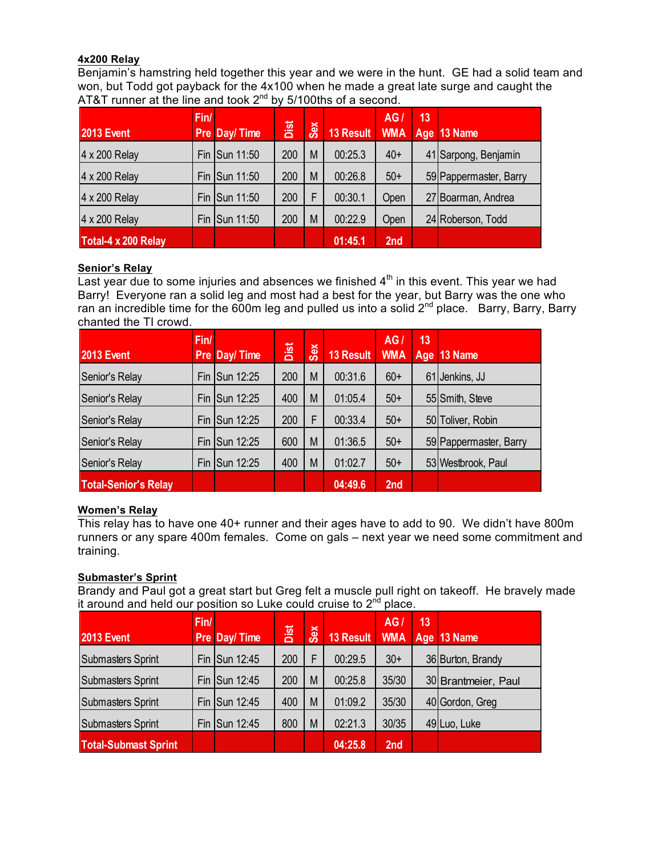#### **4x200 Relay**

Benjamin's hamstring held together this year and we were in the hunt. GE had a solid team and won, but Todd got payback for the 4x100 when he made a great late surge and caught the AT&T runner at the line and took  $2^{nd}$  by 5/100ths of a second.

| <b>2013 Event</b>   | Fin/ | <b>Pre Day/Time</b> | Dist | Sex | <b>13 Result</b> | AG.<br><b>WMA</b> | 13 | Age 13 Name            |
|---------------------|------|---------------------|------|-----|------------------|-------------------|----|------------------------|
| 4 x 200 Relay       |      | Fin Sun 11:50       | 200  | M   | 00:25.3          | $40+$             |    | 41 Sarpong, Benjamin   |
| 4 x 200 Relay       |      | Fin Sun 11:50       | 200  | M   | 00:26.8          | $50+$             |    | 59 Pappermaster, Barry |
| 4 x 200 Relay       |      | Fin Sun 11:50       | 200  | F   | 00:30.1          | Open              |    | 27 Boarman, Andrea     |
| 4 x 200 Relay       |      | Fin Sun 11:50       | 200  | M   | 00:22.9          | Open              |    | 24 Roberson, Todd      |
| Total-4 x 200 Relay |      |                     |      |     | 01:45.1          | 2nd               |    |                        |

#### **Senior's Relay**

Last year due to some injuries and absences we finished  $4<sup>th</sup>$  in this event. This year we had Barry! Everyone ran a solid leg and most had a best for the year, but Barry was the one who ran an incredible time for the 600m leg and pulled us into a solid  $2^{nd}$  place. Barry, Barry, Barry chanted the TI crowd.

| <b>2013 Event</b>           | Fin/ | Pre Day/Time      | Dist | Sex | <b>13 Result</b> | AG<br><b>WMA</b> | 13 | Age 13 Name            |
|-----------------------------|------|-------------------|------|-----|------------------|------------------|----|------------------------|
| Senior's Relay              | Fin  | <b>ISun 12:25</b> | 200  | M   | 00:31.6          | $60+$            | 61 | Jenkins, JJ            |
| Senior's Relay              | Fin  | <b>ISun 12:25</b> | 400  | M   | 01:05.4          | $50+$            |    | 55 Smith, Steve        |
| Senior's Relay              | Fin  | <b>ISun 12:25</b> | 200  | F   | 00:33.4          | $50+$            |    | 50 Toliver, Robin      |
| Senior's Relay              | Fin  | <b>Sun 12:25</b>  | 600  | M   | 01:36.5          | $50+$            |    | 59 Pappermaster, Barry |
| Senior's Relay              | Fin  | <b>Sun 12:25</b>  | 400  | M   | 01:02.7          | $50+$            |    | 53 Westbrook, Paul     |
| <b>Total-Senior's Relay</b> |      |                   |      |     | 04:49.6          | 2nd              |    |                        |

#### **Women's Relay**

This relay has to have one 40+ runner and their ages have to add to 90. We didn't have 800m runners or any spare 400m females. Come on gals – next year we need some commitment and training.

#### **Submaster's Sprint**

Brandy and Paul got a great start but Greg felt a muscle pull right on takeoff. He bravely made it around and held our position so Luke could cruise to  $2<sup>nd</sup>$  place.

|                             | Fin/ |               |      |     |           | AG/             | 13 |                     |
|-----------------------------|------|---------------|------|-----|-----------|-----------------|----|---------------------|
| <b>2013 Event</b>           |      | Pre Day/Time  | Dist | Sex | 13 Result |                 |    | WMA   Age   13 Name |
| <b>Submasters Sprint</b>    |      | Fin Sun 12:45 | 200  | F   | 00:29.5   | $30+$           |    | 36 Burton, Brandy   |
| <b>Submasters Sprint</b>    |      | Fin Sun 12:45 | 200  | M   | 00:25.8   | 35/30           |    | 30 Brantmeier, Paul |
| <b>Submasters Sprint</b>    |      | Fin Sun 12:45 | 400  | M   | 01:09.2   | 35/30           |    | 40 Gordon, Greg     |
| Submasters Sprint           |      | Fin Sun 12:45 | 800  | M   | 02:21.3   | 30/35           |    | 49Luo, Luke         |
| <b>Total-Submast Sprint</b> |      |               |      |     | 04:25.8   | 2 <sub>nd</sub> |    |                     |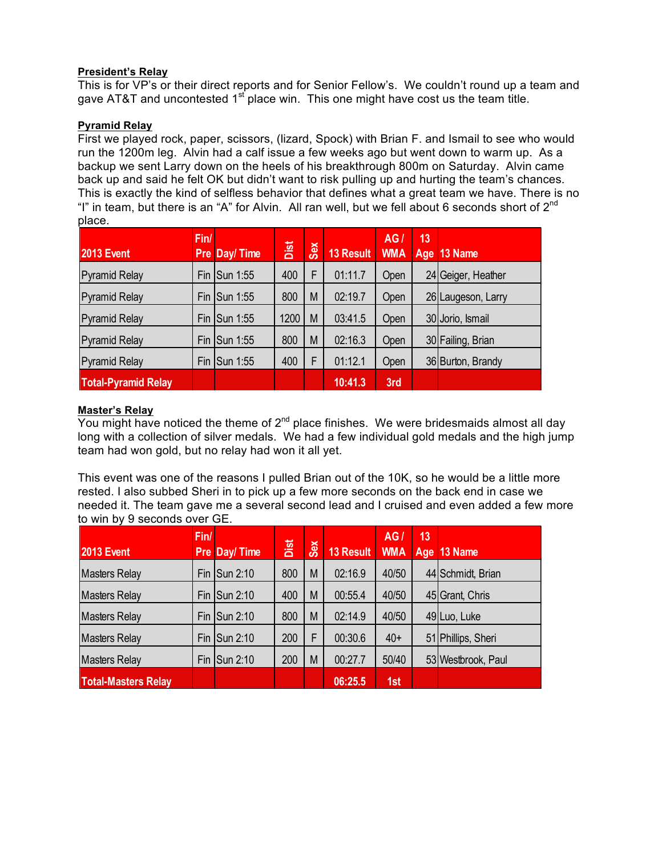#### **President's Relay**

This is for VP's or their direct reports and for Senior Fellow's. We couldn't round up a team and gave AT&T and uncontested  $1<sup>st</sup>$  place win. This one might have cost us the team title.

#### **Pyramid Relay**

First we played rock, paper, scissors, (lizard, Spock) with Brian F. and Ismail to see who would run the 1200m leg. Alvin had a calf issue a few weeks ago but went down to warm up. As a backup we sent Larry down on the heels of his breakthrough 800m on Saturday. Alvin came back up and said he felt OK but didn't want to risk pulling up and hurting the team's chances. This is exactly the kind of selfless behavior that defines what a great team we have. There is no "I" in team, but there is an "A" for Alvin. All ran well, but we fell about 6 seconds short of  $2^{nd}$ place.

| <b>2013 Event</b>          | Fin/ | Pre Day/Time                         | Dist | Sex | 13 Result | AG<br><b>WMA</b> | 13<br>Age | 13 Name            |
|----------------------------|------|--------------------------------------|------|-----|-----------|------------------|-----------|--------------------|
| <b>Pyramid Relay</b>       |      | Fin Sun 1:55                         | 400  | F   | 01:11.7   | <b>Open</b>      |           | 24 Geiger, Heather |
| <b>Pyramid Relay</b>       |      | Fin $\left \mathsf{Sun}\right $ 1:55 | 800  | M   | 02:19.7   | Open             |           | 26 Laugeson, Larry |
| <b>Pyramid Relay</b>       |      | Fin $\textsf{I}$ Sun 1:55            | 1200 | M   | 03:41.5   | Open             |           | 30 Jorio, Ismail   |
| <b>Pyramid Relay</b>       |      | Fin $\textsf{I}$ Sun 1:55            | 800  | M   | 02:16.3   | Open             |           | 30 Failing, Brian  |
| <b>Pyramid Relay</b>       |      | Fin Sun 1:55                         | 400  | F   | 01:12.1   | Open             |           | 36 Burton, Brandy  |
| <b>Total-Pyramid Relay</b> |      |                                      |      |     | 10:41.3   | 3rd              |           |                    |

#### **Master's Relay**

You might have noticed the theme of  $2^{nd}$  place finishes. We were bridesmaids almost all day long with a collection of silver medals. We had a few individual gold medals and the high jump team had won gold, but no relay had won it all yet.

This event was one of the reasons I pulled Brian out of the 10K, so he would be a little more rested. I also subbed Sheri in to pick up a few more seconds on the back end in case we needed it. The team gave me a several second lead and I cruised and even added a few more to win by 9 seconds over GE.

| <b>2013 Event</b>          | Fin/ | Pre Day/Time                               | Dist | Sex | 13 Result | AGI<br><b>WMA</b> | 13 | Age 13 Name        |
|----------------------------|------|--------------------------------------------|------|-----|-----------|-------------------|----|--------------------|
| <b>Masters Relay</b>       |      | Fin $\left \mathsf{Sun}\right\rangle$ 2:10 | 800  | M   | 02:16.9   | 40/50             |    | 44 Schmidt, Brian  |
| <b>Masters Relay</b>       |      | Fin Sun 2:10                               | 400  | M   | 00:55.4   | 40/50             |    | 45 Grant, Chris    |
| <b>Masters Relay</b>       | Fin  | $\textsf{I}$ Sun 2:10                      | 800  | M   | 02:14.9   | 40/50             |    | 49Luo, Luke        |
| <b>Masters Relay</b>       | Fin  | Sun 2:10                                   | 200  | F   | 00:30.6   | $40+$             |    | 51 Phillips, Sheri |
| <b>Masters Relay</b>       |      | Fin $\left \mathsf{Sun}\right\rangle$ 2:10 | 200  | M   | 00:27.7   | 50/40             |    | 53 Westbrook, Paul |
| <b>Total-Masters Relay</b> |      |                                            |      |     | 06:25.5   | 1st               |    |                    |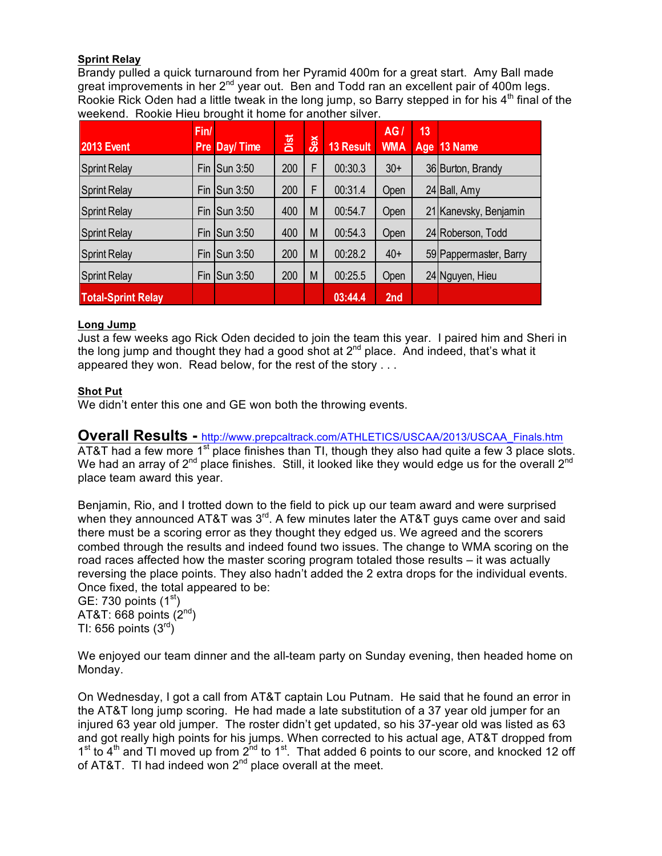#### **Sprint Relay**

Brandy pulled a quick turnaround from her Pyramid 400m for a great start. Amy Ball made great improvements in her  $2^{nd}$  year out. Ben and Todd ran an excellent pair of 400m legs. Rookie Rick Oden had a little tweak in the long jump, so Barry stepped in for his  $4<sup>th</sup>$  final of the weekend. Rookie Hieu brought it home for another silver.

| <b>2013 Event</b>         | Fin/ | <b>Pre Day/Time</b> | Dist | Sex | <b>13 Result</b> | AG<br><b>WMA</b> | 13<br>Age | 13 Name                |
|---------------------------|------|---------------------|------|-----|------------------|------------------|-----------|------------------------|
| <b>Sprint Relay</b>       | Fin  | Sun 3:50            | 200  | F   | 00:30.3          | $30+$            |           | 36 Burton, Brandy      |
| <b>Sprint Relay</b>       | Fin  | Sun 3:50            | 200  | F   | 00:31.4          | Open             |           | 24 Ball, Amy           |
| <b>Sprint Relay</b>       | Fin  | Sun 3:50            | 400  | M   | 00:54.7          | Open             |           | 21 Kanevsky, Benjamin  |
| <b>Sprint Relay</b>       | Fin  | $\mathsf{Sun}3:50$  | 400  | M   | 00:54.3          | Open             |           | 24 Roberson, Todd      |
| <b>Sprint Relay</b>       | Fin  | Sun 3:50            | 200  | M   | 00:28.2          | $40+$            |           | 59 Pappermaster, Barry |
| <b>Sprint Relay</b>       | Fin  | Sun 3:50            | 200  | M   | 00:25.5          | Open             |           | 24 Nguyen, Hieu        |
| <b>Total-Sprint Relay</b> |      |                     |      |     | 03:44.4          | 2nd              |           |                        |

#### **Long Jump**

Just a few weeks ago Rick Oden decided to join the team this year. I paired him and Sheri in the long jump and thought they had a good shot at  $2^{nd}$  place. And indeed, that's what it appeared they won. Read below, for the rest of the story . . .

#### **Shot Put**

We didn't enter this one and GE won both the throwing events.

## **Overall Results -** http://www.prepcaltrack.com/ATHLETICS/USCAA/2013/USCAA\_Finals.htm

AT&T had a few more  $1<sup>st</sup>$  place finishes than TI, though they also had quite a few 3 place slots. We had an array of  $2^{nd}$  place finishes. Still, it looked like they would edge us for the overall  $2^{nd}$ place team award this year.

Benjamin, Rio, and I trotted down to the field to pick up our team award and were surprised when they announced AT&T was  $3<sup>rd</sup>$ . A few minutes later the AT&T guys came over and said there must be a scoring error as they thought they edged us. We agreed and the scorers combed through the results and indeed found two issues. The change to WMA scoring on the road races affected how the master scoring program totaled those results – it was actually reversing the place points. They also hadn't added the 2 extra drops for the individual events. Once fixed, the total appeared to be:

GE: 730 points  $(1<sup>st</sup>)$ AT&T: 668 points  $(2<sup>nd</sup>)$ TI: 656 points  $(3<sup>rd</sup>)$ 

We enjoyed our team dinner and the all-team party on Sunday evening, then headed home on Monday.

On Wednesday, I got a call from AT&T captain Lou Putnam. He said that he found an error in the AT&T long jump scoring. He had made a late substitution of a 37 year old jumper for an injured 63 year old jumper. The roster didn't get updated, so his 37-year old was listed as 63 and got really high points for his jumps. When corrected to his actual age, AT&T dropped from  $1<sup>st</sup>$  to 4<sup>th</sup> and TI moved up from  $2<sup>nd</sup>$  to  $1<sup>st</sup>$ . That added 6 points to our score, and knocked 12 off of AT&T. TI had indeed won  $2^{nd}$  place overall at the meet.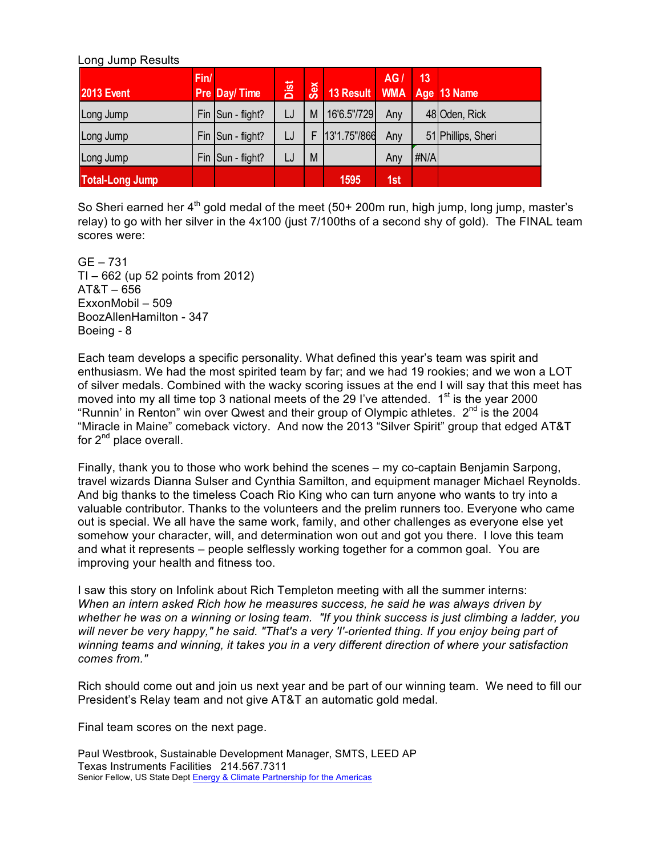#### Long Jump Results

| <b>2013 Event</b> | Fin/ | Pre Day/Time      | Dist | Sex | 13 Result    | AG/ | 13   | WMA Age 13 Name    |
|-------------------|------|-------------------|------|-----|--------------|-----|------|--------------------|
| Long Jump         |      | Fin Sun - flight? | LJ   | M   | 16'6.5"/729  | Any |      | 48 Oden, Rick      |
| Long Jump         |      | Fin Sun - flight? | LJ   | Ė   | 13'1.75"/866 | Any |      | 51 Phillips, Sheri |
| Long Jump         |      | Fin Sun - flight? | LJ   | M   |              | Any | #N/A |                    |
| Total-Long Jump   |      |                   |      |     | 1595         | 1st |      |                    |

So Sheri earned her  $4<sup>th</sup>$  gold medal of the meet (50+ 200m run, high jump, long jump, master's relay) to go with her silver in the 4x100 (just 7/100ths of a second shy of gold). The FINAL team scores were:

GE – 731 TI – 662 (up 52 points from 2012) AT&T – 656 ExxonMobil – 509 BoozAllenHamilton - 347 Boeing - 8

Each team develops a specific personality. What defined this year's team was spirit and enthusiasm. We had the most spirited team by far; and we had 19 rookies; and we won a LOT of silver medals. Combined with the wacky scoring issues at the end I will say that this meet has moved into my all time top 3 national meets of the 29 I've attended.  $1<sup>st</sup>$  is the year 2000 "Runnin' in Renton" win over Qwest and their group of Olympic athletes.  $2^{nd}$  is the 2004 "Miracle in Maine" comeback victory. And now the 2013 "Silver Spirit" group that edged AT&T for  $2^{nd}$  place overall.

Finally, thank you to those who work behind the scenes – my co-captain Benjamin Sarpong, travel wizards Dianna Sulser and Cynthia Samilton, and equipment manager Michael Reynolds. And big thanks to the timeless Coach Rio King who can turn anyone who wants to try into a valuable contributor. Thanks to the volunteers and the prelim runners too. Everyone who came out is special. We all have the same work, family, and other challenges as everyone else yet somehow your character, will, and determination won out and got you there. I love this team and what it represents – people selflessly working together for a common goal. You are improving your health and fitness too.

I saw this story on Infolink about Rich Templeton meeting with all the summer interns: *When an intern asked Rich how he measures success, he said he was always driven by whether he was on a winning or losing team. "If you think success is just climbing a ladder, you will never be very happy," he said. "That's a very 'I'-oriented thing. If you enjoy being part of winning teams and winning, it takes you in a very different direction of where your satisfaction comes from."*

Rich should come out and join us next year and be part of our winning team. We need to fill our President's Relay team and not give AT&T an automatic gold medal.

Final team scores on the next page.

Paul Westbrook, Sustainable Development Manager, SMTS, LEED AP Texas Instruments Facilities 214.567.7311 Senior Fellow, US State Dept Energy & Climate Partnership for the Americas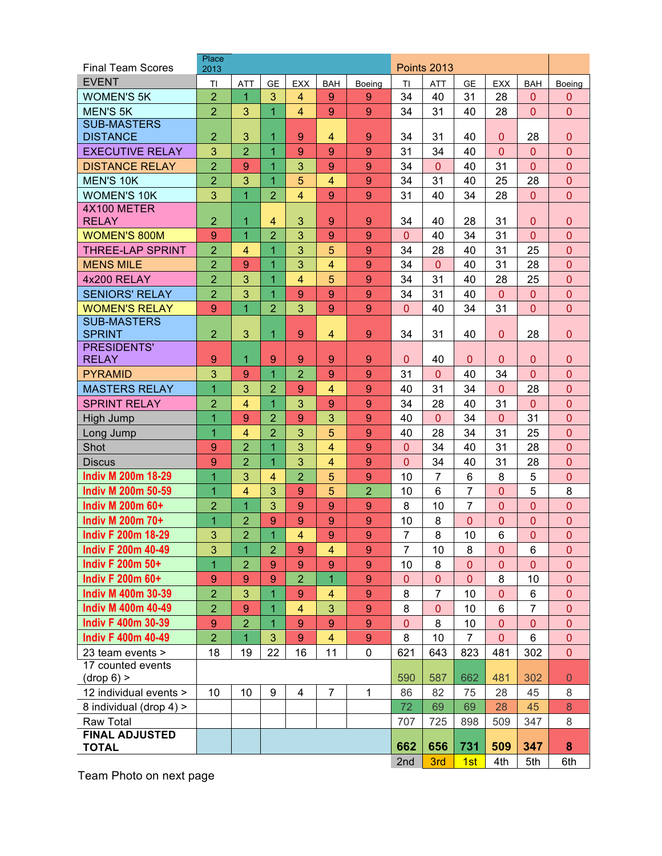| <b>Final Team Scores</b>  | Place<br>2013    | <b>Points 2013</b> |                |                     |                         |                  |                |                |                |                |                |                |
|---------------------------|------------------|--------------------|----------------|---------------------|-------------------------|------------------|----------------|----------------|----------------|----------------|----------------|----------------|
| <b>EVENT</b>              | TI               | <b>ATT</b>         | <b>GE</b>      | <b>EXX</b>          | <b>BAH</b>              | Boeing           | ΤI             | <b>ATT</b>     | <b>GE</b>      | <b>EXX</b>     | <b>BAH</b>     | Boeing         |
| <b>WOMEN'S 5K</b>         | $\overline{2}$   | 1                  | 3              | $\overline{4}$      | 9                       | 9                | 34             | 40             | 31             | 28             | $\mathbf{0}$   | 0              |
| <b>MEN'S 5K</b>           | $\overline{2}$   | 3                  | $\overline{1}$ | $\overline{4}$      | 9                       | 9                | 34             | 31             | 40             | 28             | $\overline{0}$ | $\overline{0}$ |
| <b>SUB-MASTERS</b>        |                  |                    |                |                     |                         |                  |                |                |                |                |                |                |
| <b>DISTANCE</b>           | $\overline{2}$   | 3                  | 1              | 9                   | 4                       | 9                | 34             | 31             | 40             | $\mathbf{0}$   | 28             | $\mathbf{0}$   |
| <b>EXECUTIVE RELAY</b>    | 3                | $\overline{2}$     | 1              | 9                   | 9                       | 9                | 31             | 34             | 40             | $\overline{0}$ | $\Omega$       | $\overline{0}$ |
| <b>DISTANCE RELAY</b>     | $\overline{2}$   | 9                  | 1              | 3                   | 9                       | 9                | 34             | $\Omega$       | 40             | 31             | $\overline{0}$ | $\overline{0}$ |
| <b>MEN'S 10K</b>          | $\overline{2}$   | 3                  | 1              | 5                   | $\overline{4}$          | 9                | 34             | 31             | 40             | 25             | 28             | $\overline{0}$ |
| <b>WOMEN'S 10K</b>        | 3                | $\overline{1}$     | $\overline{2}$ | $\overline{4}$      | 9                       | 9                | 31             | 40             | 34             | 28             | $\overline{0}$ | $\overline{0}$ |
| 4X100 METER               |                  |                    |                |                     |                         |                  |                |                |                |                |                |                |
| <b>RELAY</b>              | $\overline{2}$   | 1                  | $\overline{4}$ | 3                   | 9                       | 9                | 34             | 40             | 28             | 31             | $\mathbf{0}$   | $\mathbf{0}$   |
| <b>WOMEN'S 800M</b>       | 9                | $\overline{1}$     | $\overline{2}$ | 3                   | 9                       | 9                | $\overline{0}$ | 40             | 34             | 31             | $\overline{0}$ | $\overline{0}$ |
| <b>THREE-LAP SPRINT</b>   | $\overline{2}$   | 4                  | 1              | 3                   | 5                       | 9                | 34             | 28             | 40             | 31             | 25             | $\overline{0}$ |
| <b>MENS MILE</b>          | $\overline{2}$   | 9                  | 1              | 3                   | $\overline{4}$          | 9                | 34             | $\mathbf{0}$   | 40             | 31             | 28             | $\overline{0}$ |
| 4x200 RELAY               | $\overline{2}$   | 3                  | 1              | $\overline{4}$      | 5                       | 9                | 34             | 31             | 40             | 28             | 25             | $\overline{0}$ |
| <b>SENIORS' RELAY</b>     | $\overline{2}$   | 3                  | $\overline{1}$ | 9                   | 9                       | 9                | 34             | 31             | 40             | $\overline{0}$ | $\Omega$       | $\overline{0}$ |
| <b>WOMEN'S RELAY</b>      | 9                | $\overline{1}$     | $\overline{2}$ | 3                   | 9                       | 9                | $\overline{0}$ | 40             | 34             | 31             | $\overline{0}$ | $\overline{0}$ |
| <b>SUB-MASTERS</b>        |                  |                    |                |                     |                         |                  |                |                |                |                |                |                |
| <b>SPRINT</b>             | $\overline{2}$   | 3                  | 1              | 9                   | $\overline{4}$          | 9                | 34             | 31             | 40             | $\overline{0}$ | 28             | $\overline{0}$ |
| PRESIDENTS'               |                  |                    |                |                     |                         |                  |                |                |                |                |                |                |
| <b>RELAY</b>              | 9                | 1                  | 9              | 9<br>$\overline{2}$ | 9                       | 9                | 0              | 40             | 0              | 0              | $\mathbf 0$    | $\mathbf{0}$   |
| <b>PYRAMID</b>            | 3                | 9                  | 1              |                     | 9                       | 9                | 31             | $\Omega$       | 40             | 34             | $\overline{0}$ | $\overline{0}$ |
| <b>MASTERS RELAY</b>      | $\overline{1}$   | 3                  | $\overline{2}$ | 9                   | $\overline{4}$          | 9                | 40             | 31             | 34             | $\mathbf{0}$   | 28             | $\mathbf{0}$   |
| <b>SPRINT RELAY</b>       | $\overline{2}$   | $\overline{4}$     | $\overline{1}$ | 3                   | 9                       | 9                | 34             | 28             | 40             | 31             | $\mathbf{0}$   | $\overline{0}$ |
| High Jump                 | 1                | 9                  | $\overline{2}$ | 9                   | 3                       | 9                | 40             | 0              | 34             | 0              | 31             | $\mathbf{0}$   |
| Long Jump                 | 1                | $\overline{4}$     | $\overline{2}$ | 3                   | 5                       | 9                | 40             | 28             | 34             | 31             | 25             | $\overline{0}$ |
| Shot                      | 9                | $\overline{2}$     | 1              | 3                   | $\overline{4}$          | 9                | $\mathbf{0}$   | 34             | 40             | 31             | 28             | $\overline{0}$ |
| Discus                    | 9                | $\overline{2}$     | $\overline{1}$ | 3                   | $\overline{4}$          | 9                | $\overline{0}$ | 34             | 40             | 31             | 28             | $\overline{0}$ |
| <b>Indiv M 200m 18-29</b> | $\overline{1}$   | 3                  | 4              | $\overline{2}$      | 5                       | 9                | 10             | 7              | 6              | 8              | 5              | $\overline{0}$ |
| <b>Indiv M 200m 50-59</b> | 1                | 4                  | 3              | 9                   | 5                       | $\overline{2}$   | 10             | 6              | 7              | 0              | 5              | 8              |
| Indiv M 200m 60+          | $\overline{2}$   | $\overline{1}$     | 3              | 9                   | 9                       | 9                | 8              | 10             | $\overline{7}$ | 0              | $\overline{0}$ | $\mathbf{0}$   |
| Indiv M 200m 70+          | 1                | $\overline{2}$     | 9              | 9                   | 9                       | 9                | 10             | 8              | 0              | 0              | $\overline{0}$ | $\overline{0}$ |
| <b>Indiv F 200m 18-29</b> | 3                | $\overline{c}$     | 1              | $\overline{4}$      | 9                       | 9                | 7              | 8              | 10             | 6              | $\Omega$       | $\overline{0}$ |
| <b>Indiv F 200m 40-49</b> | 3                | 1                  | $\overline{2}$ | 9                   | 4                       | 9                | 7              | 10             | 8              | $\mathbf{0}$   | 6              | $\mathbf{0}$   |
| <b>Indiv F 200m 50+</b>   | $\overline{1}$   | $\overline{2}$     | 9              | 9                   | 9                       | 9                | 10             | 8              | 0              | $\mathbf{0}$   | $\Omega$       | $\mathbf{0}$   |
| <b>Indiv F 200m 60+</b>   | $\boldsymbol{9}$ | 9                  | 9              | $\overline{2}$      | $\overline{1}$          | 9                | $\mathbf{0}$   | $\overline{0}$ | $\overline{0}$ | 8              | 10             | $\mathbf 0$    |
| <b>Indiv M 400m 30-39</b> | $\overline{2}$   | $\mathbf{3}$       | 1              | $\overline{9}$      | $\overline{\mathbf{4}}$ | $\boldsymbol{9}$ | 8              | $\overline{7}$ | 10             | $\mathbf{0}$   | 6              | $\mathbf 0$    |
| <b>Indiv M 400m 40-49</b> | $\overline{2}$   | $\overline{9}$     | 1              | $\overline{4}$      | 3                       | $9\,$            | 8              | $\mathbf 0$    | 10             | 6              | $\overline{7}$ | $\mathbf 0$    |
| <b>Indiv F 400m 30-39</b> | $\boldsymbol{9}$ | $\overline{2}$     | 1              | 9                   | 9                       | $\boldsymbol{9}$ | $\overline{0}$ | 8              | 10             | $\mathbf{0}$   | $\overline{0}$ | $\overline{0}$ |
| <b>Indiv F 400m 40-49</b> | $\overline{2}$   | $\overline{1}$     | 3              | 9                   | $\overline{\mathbf{4}}$ | $\boldsymbol{9}$ | 8              | 10             | $\overline{7}$ | $\overline{0}$ | $6\phantom{1}$ | $\mathbf 0$    |
| 23 team events >          | 18               | 19                 | 22             | 16                  | 11                      | $\pmb{0}$        | 621            | 643            | 823            | 481            | 302            | $\mathbf{0}$   |
| 17 counted events         |                  |                    |                |                     |                         |                  |                |                |                |                |                |                |
| $(drop 6)$ >              |                  |                    |                |                     |                         |                  | 590            | 587            | 662            | 481            | 302            | $\mathbf{0}$   |
| 12 individual events >    | 10               | 10                 | 9              | 4                   | $\overline{7}$          | 1                | 86             | 82             | 75             | 28             | 45             | 8              |
| 8 individual (drop 4) >   |                  |                    |                |                     |                         |                  | 72             | 69             | 69             | 28             | 45             | 8              |
| <b>Raw Total</b>          |                  |                    |                |                     |                         |                  | 707            | 725            | 898            | 509            | 347            | 8              |
| <b>FINAL ADJUSTED</b>     |                  |                    |                |                     |                         |                  |                |                |                |                |                |                |
| <b>TOTAL</b>              |                  |                    |                |                     |                         |                  | 662            | 656            | 731            | 509            | 347            | 8              |
|                           |                  |                    |                |                     |                         |                  | 2nd            | 3rd            | 1st            | 4th            | 5th            | 6th            |

Team Photo on next page